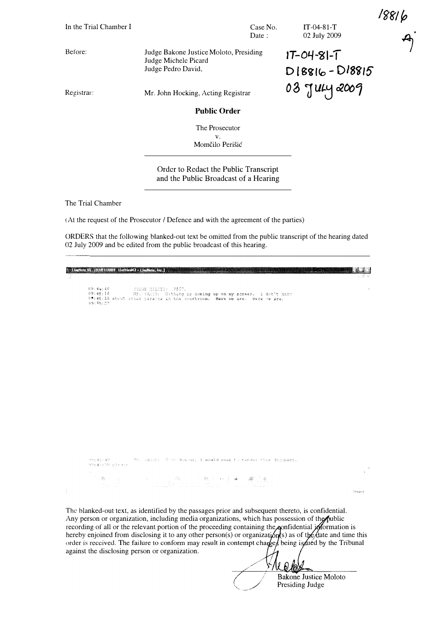In the Trial Chamber I

Before:

Case No. Date:

IT-04-81-T 02 July 2009

D 18816 - D18815

03 July 2009

JT-04-�I-T

Judge Bakone Justice Moloto, Presiding Judge Michele Picard Judge Pedro David,

Registrar:

Mr. John Hocking, Acting Registrar

## Public Order

The Prosecutor

v.

Momčilo Perišić

Order to Redact the Public Transcript and the Public Broadcast of a Hearing

The Trial Chamber

(At the request of the Prosecutor / Defence and with the agreement of the parties)

ORDERS that the following blanked-out text be omitted from the public transcript of the hearing dated 02 July 2009 and be edited from the public broadcast of this hearing.

EF LiveNote SR - (02/07/7009 Natitled42 + LiveNote, Inc.) And the State of Antique Companions and the English <u> Samara San</u> U9:44:48<br>09:45:16<br>09:45:13 aheut<br>09:45:27 Midžidy — : MR. ZAZOBI - Tich Hongur, I would seek to tender<br>Midžidė please.  $\label{eq:3.1} \mathbb{B} \mathbb{R}^{d-1} = \mathbb{R}^{d-1}$ Stopped

The hlanked-out text, as identified by the passages prior and subsequent thereto, is confidential. Any person or organization, including media organizations, which has possession of the public recording of all or the relevant portion of the proceeding containing the confidential information is hereby enjoined from disclosing it to any other person(s) or organization(s) as of the date and time this order is received. The failure to conform may result in contempt charges being issued by the Tribunal against the disclosing person or organization.

-61

Bakone Justice Moloto<br>Presiding Judge